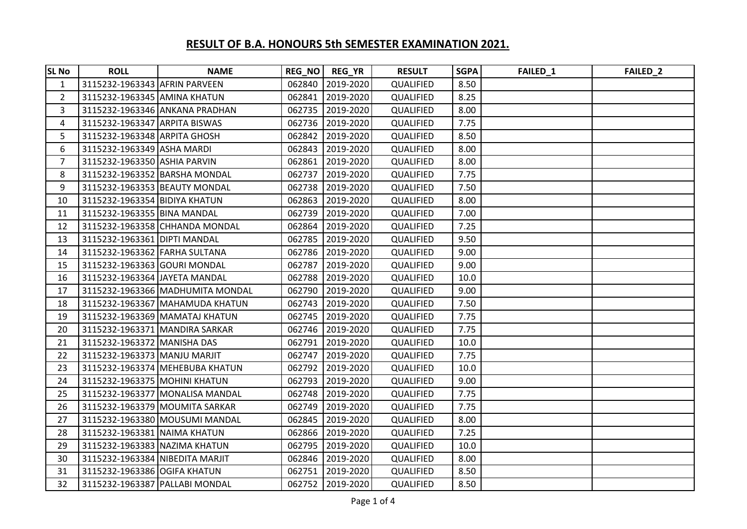| <b>SL No</b>   | <b>ROLL</b>                     | <b>NAME</b>                      |        | REG_NO   REG_YR  | <b>RESULT</b>    | <b>SGPA</b> | FAILED_1 | FAILED_2 |
|----------------|---------------------------------|----------------------------------|--------|------------------|------------------|-------------|----------|----------|
| $\mathbf{1}$   | 3115232-1963343 AFRIN PARVEEN   |                                  |        | 062840 2019-2020 | QUALIFIED        | 8.50        |          |          |
| $\overline{2}$ | 3115232-1963345 AMINA KHATUN    |                                  | 062841 | 2019-2020        | QUALIFIED        | 8.25        |          |          |
| 3              |                                 | 3115232-1963346 ANKANA PRADHAN   |        | 062735 2019-2020 | QUALIFIED        | 8.00        |          |          |
| 4              | 3115232-1963347 ARPITA BISWAS   |                                  |        | 062736 2019-2020 | QUALIFIED        | 7.75        |          |          |
| 5              | 3115232-1963348 ARPITA GHOSH    |                                  |        | 062842 2019-2020 | QUALIFIED        | 8.50        |          |          |
| 6              | 3115232-1963349 ASHA MARDI      |                                  |        | 062843 2019-2020 | QUALIFIED        | 8.00        |          |          |
| $\overline{7}$ | 3115232-1963350 ASHIA PARVIN    |                                  | 062861 | 2019-2020        | QUALIFIED        | 8.00        |          |          |
| 8              | 3115232-1963352 BARSHA MONDAL   |                                  | 062737 | 2019-2020        | QUALIFIED        | 7.75        |          |          |
| 9              | 3115232-1963353 BEAUTY MONDAL   |                                  |        | 062738 2019-2020 | QUALIFIED        | 7.50        |          |          |
| 10             | 3115232-1963354 BIDIYA KHATUN   |                                  |        | 062863 2019-2020 | QUALIFIED        | 8.00        |          |          |
| 11             | 3115232-1963355 BINA MANDAL     |                                  |        | 062739 2019-2020 | QUALIFIED        | 7.00        |          |          |
| 12             |                                 | 3115232-1963358 CHHANDA MONDAL   |        | 062864 2019-2020 | QUALIFIED        | 7.25        |          |          |
| 13             | 3115232-1963361 DIPTI MANDAL    |                                  |        | 062785 2019-2020 | <b>QUALIFIED</b> | 9.50        |          |          |
| 14             | 3115232-1963362 FARHA SULTANA   |                                  |        | 062786 2019-2020 | <b>QUALIFIED</b> | 9.00        |          |          |
| 15             | 3115232-1963363 GOURI MONDAL    |                                  | 062787 | 2019-2020        | QUALIFIED        | 9.00        |          |          |
| 16             | 3115232-1963364 JAYETA MANDAL   |                                  |        | 062788 2019-2020 | <b>QUALIFIED</b> | 10.0        |          |          |
| 17             |                                 | 3115232-1963366 MADHUMITA MONDAL |        | 062790 2019-2020 | QUALIFIED        | 9.00        |          |          |
| 18             |                                 | 3115232-1963367 MAHAMUDA KHATUN  |        | 062743 2019-2020 | QUALIFIED        | 7.50        |          |          |
| 19             |                                 | 3115232-1963369 MAMATAJ KHATUN   |        | 062745 2019-2020 | QUALIFIED        | 7.75        |          |          |
| 20             |                                 | 3115232-1963371 MANDIRA SARKAR   |        | 062746 2019-2020 | QUALIFIED        | 7.75        |          |          |
| 21             | 3115232-1963372 MANISHA DAS     |                                  | 062791 | 2019-2020        | QUALIFIED        | 10.0        |          |          |
| 22             | 3115232-1963373 MANJU MARJIT    |                                  |        | 062747 2019-2020 | QUALIFIED        | 7.75        |          |          |
| 23             |                                 | 3115232-1963374 MEHEBUBA KHATUN  |        | 062792 2019-2020 | QUALIFIED        | 10.0        |          |          |
| 24             | 3115232-1963375 MOHINI KHATUN   |                                  |        | 062793 2019-2020 | QUALIFIED        | 9.00        |          |          |
| 25             |                                 | 3115232-1963377 MONALISA MANDAL  |        | 062748 2019-2020 | QUALIFIED        | 7.75        |          |          |
| 26             |                                 | 3115232-1963379 MOUMITA SARKAR   | 062749 | 2019-2020        | QUALIFIED        | 7.75        |          |          |
| 27             |                                 | 3115232-1963380 MOUSUMI MANDAL   |        | 062845 2019-2020 | QUALIFIED        | 8.00        |          |          |
| 28             | 3115232-1963381 NAIMA KHATUN    |                                  |        | 062866 2019-2020 | QUALIFIED        | 7.25        |          |          |
| 29             | 3115232-1963383 NAZIMA KHATUN   |                                  |        | 062795 2019-2020 | QUALIFIED        | 10.0        |          |          |
| 30             | 3115232-1963384 NIBEDITA MARJIT |                                  |        | 062846 2019-2020 | QUALIFIED        | 8.00        |          |          |
| 31             | 3115232-1963386 OGIFA KHATUN    |                                  | 062751 | 2019-2020        | QUALIFIED        | 8.50        |          |          |
| 32             | 3115232-1963387 PALLABI MONDAL  |                                  |        | 062752 2019-2020 | QUALIFIED        | 8.50        |          |          |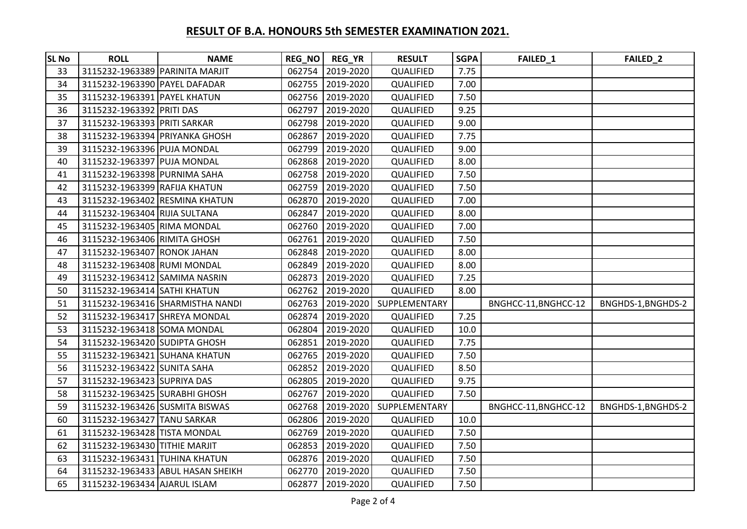| <b>SL No</b> | <b>ROLL</b>                     | <b>NAME</b>                       | REG_NO | <b>REG_YR</b>    | <b>RESULT</b> | <b>SGPA</b> | FAILED_1             | FAILED_2           |
|--------------|---------------------------------|-----------------------------------|--------|------------------|---------------|-------------|----------------------|--------------------|
| 33           | 3115232-1963389 PARINITA MARJIT |                                   |        | 062754 2019-2020 | QUALIFIED     | 7.75        |                      |                    |
| 34           | 3115232-1963390 PAYEL DAFADAR   |                                   |        | 062755 2019-2020 | QUALIFIED     | 7.00        |                      |                    |
| 35           | 3115232-1963391 PAYEL KHATUN    |                                   | 062756 | 2019-2020        | QUALIFIED     | 7.50        |                      |                    |
| 36           | 3115232-1963392 PRITI DAS       |                                   | 062797 | 2019-2020        | QUALIFIED     | 9.25        |                      |                    |
| 37           | 3115232-1963393 PRITI SARKAR    |                                   | 062798 | 2019-2020        | QUALIFIED     | 9.00        |                      |                    |
| 38           | 3115232-1963394 PRIYANKA GHOSH  |                                   | 062867 | 2019-2020        | QUALIFIED     | 7.75        |                      |                    |
| 39           | 3115232-1963396 PUJA MONDAL     |                                   | 062799 | 2019-2020        | QUALIFIED     | 9.00        |                      |                    |
| 40           | 3115232-1963397 PUJA MONDAL     |                                   | 062868 | 2019-2020        | QUALIFIED     | 8.00        |                      |                    |
| 41           | 3115232-1963398 PURNIMA SAHA    |                                   | 062758 | 2019-2020        | QUALIFIED     | 7.50        |                      |                    |
| 42           | 3115232-1963399 RAFIJA KHATUN   |                                   | 062759 | 2019-2020        | QUALIFIED     | 7.50        |                      |                    |
| 43           |                                 | 3115232-1963402 RESMINA KHATUN    | 062870 | 2019-2020        | QUALIFIED     | 7.00        |                      |                    |
| 44           | 3115232-1963404 RIJIA SULTANA   |                                   | 062847 | 2019-2020        | QUALIFIED     | 8.00        |                      |                    |
| 45           | 3115232-1963405 RIMA MONDAL     |                                   | 062760 | 2019-2020        | QUALIFIED     | 7.00        |                      |                    |
| 46           | 3115232-1963406 RIMITA GHOSH    |                                   | 062761 | 2019-2020        | QUALIFIED     | 7.50        |                      |                    |
| 47           | 3115232-1963407 RONOK JAHAN     |                                   | 062848 | 2019-2020        | QUALIFIED     | 8.00        |                      |                    |
| 48           | 3115232-1963408 RUMI MONDAL     |                                   | 062849 | 2019-2020        | QUALIFIED     | 8.00        |                      |                    |
| 49           | 3115232-1963412 SAMIMA NASRIN   |                                   | 062873 | 2019-2020        | QUALIFIED     | 7.25        |                      |                    |
| 50           | 3115232-1963414 SATHI KHATUN    |                                   | 062762 | 2019-2020        | QUALIFIED     | 8.00        |                      |                    |
| 51           |                                 | 3115232-1963416 SHARMISTHA NANDI  | 062763 | 2019-2020        | SUPPLEMENTARY |             | BNGHCC-11, BNGHCC-12 | BNGHDS-1, BNGHDS-2 |
| 52           | 3115232-1963417 SHREYA MONDAL   |                                   | 062874 | 2019-2020        | QUALIFIED     | 7.25        |                      |                    |
| 53           | 3115232-1963418 SOMA MONDAL     |                                   | 062804 | 2019-2020        | QUALIFIED     | 10.0        |                      |                    |
| 54           | 3115232-1963420 SUDIPTA GHOSH   |                                   | 062851 | 2019-2020        | QUALIFIED     | 7.75        |                      |                    |
| 55           | 3115232-1963421 SUHANA KHATUN   |                                   | 062765 | 2019-2020        | QUALIFIED     | 7.50        |                      |                    |
| 56           | 3115232-1963422 SUNITA SAHA     |                                   | 062852 | 2019-2020        | QUALIFIED     | 8.50        |                      |                    |
| 57           | 3115232-1963423 SUPRIYA DAS     |                                   | 062805 | 2019-2020        | QUALIFIED     | 9.75        |                      |                    |
| 58           | 3115232-1963425 SURABHI GHOSH   |                                   | 062767 | 2019-2020        | QUALIFIED     | 7.50        |                      |                    |
| 59           | 3115232-1963426 SUSMITA BISWAS  |                                   | 062768 | 2019-2020        | SUPPLEMENTARY |             | BNGHCC-11, BNGHCC-12 | BNGHDS-1, BNGHDS-2 |
| 60           | 3115232-1963427 TANU SARKAR     |                                   | 062806 | 2019-2020        | QUALIFIED     | 10.0        |                      |                    |
| 61           | 3115232-1963428 TISTA MONDAL    |                                   | 062769 | 2019-2020        | QUALIFIED     | 7.50        |                      |                    |
| 62           | 3115232-1963430 TITHIE MARJIT   |                                   | 062853 | 2019-2020        | QUALIFIED     | 7.50        |                      |                    |
| 63           | 3115232-1963431 TUHINA KHATUN   |                                   | 062876 | 2019-2020        | QUALIFIED     | 7.50        |                      |                    |
| 64           |                                 | 3115232-1963433 ABUL HASAN SHEIKH | 062770 | 2019-2020        | QUALIFIED     | 7.50        |                      |                    |
| 65           | 3115232-1963434 AJARUL ISLAM    |                                   | 062877 | 2019-2020        | QUALIFIED     | 7.50        |                      |                    |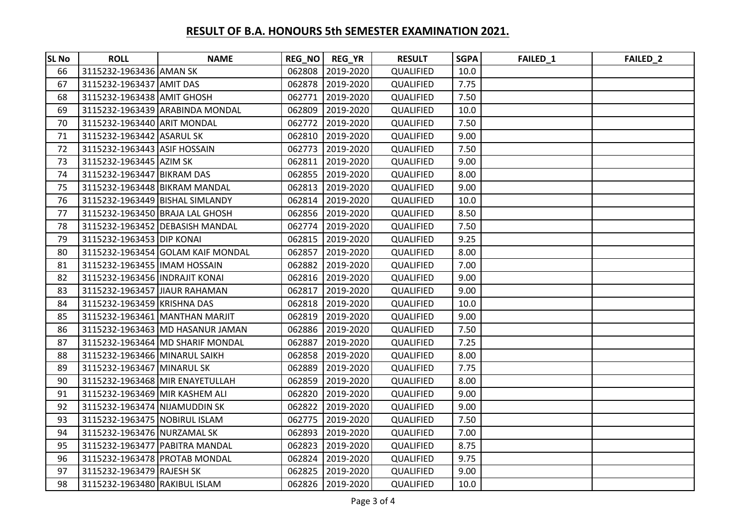| <b>SL No</b> | <b>ROLL</b>                     | <b>NAME</b>                       |        | REG_NO   REG_YR  | <b>RESULT</b>    | <b>SGPA</b> | FAILED_1 | FAILED <sub>2</sub> |
|--------------|---------------------------------|-----------------------------------|--------|------------------|------------------|-------------|----------|---------------------|
| 66           | 3115232-1963436 AMAN SK         |                                   |        | 062808 2019-2020 | QUALIFIED        | 10.0        |          |                     |
| 67           | 3115232-1963437 AMIT DAS        |                                   |        | 062878 2019-2020 | QUALIFIED        | 7.75        |          |                     |
| 68           | 3115232-1963438 AMIT GHOSH      |                                   | 062771 | 2019-2020        | QUALIFIED        | 7.50        |          |                     |
| 69           |                                 | 3115232-1963439 ARABINDA MONDAL   |        | 062809 2019-2020 | QUALIFIED        | 10.0        |          |                     |
| 70           | 3115232-1963440 ARIT MONDAL     |                                   | 062772 | 2019-2020        | QUALIFIED        | 7.50        |          |                     |
| 71           | 3115232-1963442 ASARUL SK       |                                   |        | 062810 2019-2020 | QUALIFIED        | 9.00        |          |                     |
| 72           | 3115232-1963443 ASIF HOSSAIN    |                                   |        | 062773 2019-2020 | QUALIFIED        | 7.50        |          |                     |
| 73           | 3115232-1963445 AZIM SK         |                                   | 062811 | 2019-2020        | QUALIFIED        | 9.00        |          |                     |
| 74           | 3115232-1963447 BIKRAM DAS      |                                   |        | 062855 2019-2020 | QUALIFIED        | 8.00        |          |                     |
| 75           | 3115232-1963448 BIKRAM MANDAL   |                                   |        | 062813 2019-2020 | QUALIFIED        | 9.00        |          |                     |
| 76           | 3115232-1963449 BISHAL SIMLANDY |                                   |        | 062814 2019-2020 | QUALIFIED        | 10.0        |          |                     |
| 77           | 3115232-1963450 BRAJA LAL GHOSH |                                   |        | 062856 2019-2020 | QUALIFIED        | 8.50        |          |                     |
| 78           |                                 | 3115232-1963452 DEBASISH MANDAL   |        | 062774 2019-2020 | QUALIFIED        | 7.50        |          |                     |
| 79           | 3115232-1963453 DIP KONAI       |                                   |        | 062815 2019-2020 | QUALIFIED        | 9.25        |          |                     |
| 80           |                                 | 3115232-1963454 GOLAM KAIF MONDAL | 062857 | 2019-2020        | QUALIFIED        | 8.00        |          |                     |
| 81           | 3115232-1963455   IMAM HOSSAIN  |                                   |        | 062882 2019-2020 | QUALIFIED        | 7.00        |          |                     |
| 82           | 3115232-1963456 INDRAJIT KONAI  |                                   |        | 062816 2019-2020 | <b>QUALIFIED</b> | 9.00        |          |                     |
| 83           | 3115232-1963457 JIAUR RAHAMAN   |                                   | 062817 | 2019-2020        | QUALIFIED        | 9.00        |          |                     |
| 84           | 3115232-1963459 KRISHNA DAS     |                                   |        | 062818 2019-2020 | QUALIFIED        | 10.0        |          |                     |
| 85           |                                 | 3115232-1963461 MANTHAN MARJIT    |        | 062819 2019-2020 | QUALIFIED        | 9.00        |          |                     |
| 86           |                                 | 3115232-1963463 MD HASANUR JAMAN  |        | 062886 2019-2020 | QUALIFIED        | 7.50        |          |                     |
| 87           |                                 | 3115232-1963464 MD SHARIF MONDAL  | 062887 | 2019-2020        | QUALIFIED        | 7.25        |          |                     |
| 88           | 3115232-1963466 MINARUL SAIKH   |                                   |        | 062858 2019-2020 | QUALIFIED        | 8.00        |          |                     |
| 89           | 3115232-1963467 MINARUL SK      |                                   |        | 062889 2019-2020 | QUALIFIED        | 7.75        |          |                     |
| 90           |                                 | 3115232-1963468 MIR ENAYETULLAH   |        | 062859 2019-2020 | QUALIFIED        | 8.00        |          |                     |
| 91           | 3115232-1963469 MIR KASHEM ALI  |                                   |        | 062820 2019-2020 | QUALIFIED        | 9.00        |          |                     |
| 92           | 3115232-1963474 NIJAMUDDIN SK   |                                   |        | 062822 2019-2020 | QUALIFIED        | 9.00        |          |                     |
| 93           | 3115232-1963475 NOBIRUL ISLAM   |                                   |        | 062775 2019-2020 | QUALIFIED        | 7.50        |          |                     |
| 94           | 3115232-1963476 NURZAMAL SK     |                                   |        | 062893 2019-2020 | QUALIFIED        | 7.00        |          |                     |
| 95           | 3115232-1963477 PABITRA MANDAL  |                                   |        | 062823 2019-2020 | QUALIFIED        | 8.75        |          |                     |
| 96           | 3115232-1963478 PROTAB MONDAL   |                                   |        | 062824 2019-2020 | QUALIFIED        | 9.75        |          |                     |
| 97           | 3115232-1963479 RAJESH SK       |                                   |        | 062825 2019-2020 | QUALIFIED        | 9.00        |          |                     |
| 98           | 3115232-1963480 RAKIBUL ISLAM   |                                   |        | 062826 2019-2020 | QUALIFIED        | 10.0        |          |                     |